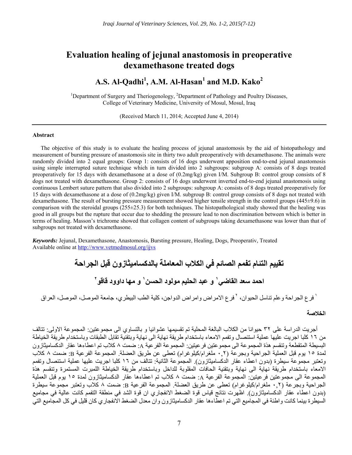# **Evaluation healing of jejunal anastomosis in preoperative dexamethasone treated dogs**

# **A.S. Al-Qadhi<sup>1</sup> , A.M. Al-Hasan<sup>1</sup> and M.D. Kako<sup>2</sup>**

<sup>1</sup>Department of Surgery and Theriogenology, <sup>2</sup>Department of Pathology and Poultry Diseases, College of Veterinary Medicine, University of Mosul, Mosul, Iraq

(Received March 11, 2014; Accepted June 4, 2014)

## **Abstract**

The objective of this study is to evaluate the healing process of jejunal anastomosis by the aid of histopathology and measurement of bursting pressure of anastomosis site in thirty two adult preoperatively with dexamethasone. The animals were randomly divided into 2 equal groups: Group 1: consists of 16 dogs underwent apposition end-to-end jejunal anastomosis using simple interrupted suture technique which in turn divided into 2 subgroups: subgroup A: consists of 8 dogs treated preoperatively for 15 days with dexamethasone at a dose of (0.2mg/kg) given I/M. Subgroup B: control group consists of 8 dogs not treated with dexamethasone. Group 2: consists of 16 dogs underwent inverted end-to-end jejunal anastomosis using continuous Lembert suture pattern that also divided into 2 subgroups: subgroup A: consists of 8 dogs treated preoperatively for 15 days with dexamethasone at a dose of (0.2mg/kg) given I/M. subgroup B: control group consists of 8 dogs not treated with dexamethasone. The result of bursting pressure measurement showed higher tensile strength in the control groups (445±9.6) in comparison with the steroidal groups  $(255\pm25.3)$  for both techniques. The histopathological study showed that the healing was good in all groups but the rupture that occur due to shedding the pressure lead to non discrimination between which is better in terms of healing. Masson's trichrome showed that collagen content of subgroups taking dexamethasone was lower than that of subgroups not treated with dexamethasone.

*Keywords:* Jejunal, Dexamethasone, Anastomosis, Bursting pressure, Healing, Dogs, Preoperativ, Treated Available online at http://www.vetmedmosul.org/ijvs

# **تقييم التئام تفمم الصائم في الكالب المعاملة بالدكساميثازون قبل الجراحة و عبد الحليم مولود الحسن <sup>١</sup> احمد سعد القاضي و مھا داوود قاقو <sup>١</sup> ٢**

<sup>י</sup> فرع الجر احة و علم تناسل الحيوان، <sup>٢</sup> فرع الإمر اض و امر اض الدو اجن، كلية الطب البيطر ي، جامعة الموصل، الموصل، العراق

## **الخالصة**

أجريت الدراسة على ٣٢ حيوانا من الكالب البالغة المحلية تم تقسيمھا عشوائيا و بالتساوي الى مجموعتين: المجموعة االولى: تتالف من ١٦ كلبا اجريت عليھا عملية استئصال وتفمم االمعاء باستخدام طريقة نھاية الى نھاية وبتقنية تقابل الطبقات وباستخدام طريقة الخياطة البسيطة المتقطعة وتنقسم ھذة المجموعة الى مجموعتين فرعيتين: المجموعة الفرعية A: ضمت ٨ كالب تم اعطاءھا عقار الدكساميثازون لمدة ١٥ يوم قبل العملية الجراحية وبجرعة (٠,٢ ملغرام/كيلوغرام) تعطى عن طريق العضلة. المجموعة الفرعية B: ضمت ٨ كالب وتعتبر مجموعة سيطرة (بدون اعطاء عقار الدكساميثازون). المجموعة الثانية: تتالف من ١٦ كلبا اجريت عليھا عملية استئصال وتفمم االمعاء باستخدام طريقة نھاية الى نھاية وبتقنية الحافات المقلوبة للداخل وباستخدام طريقة الخياطة اللمبرت المستمرة وتنقسم ھذة المجموعة الى مجموعتين فرعيتين: المجموعة الفرعية A: ضمت ٨ كالب تم اعطاءھا عقار الدكساميثازون لمدة ١٥ يوم قبل العملية الجراحية وبجرعة (٠,٢ ملغرام/كيلوغرام) تعطى عن طريق العضلة. المجموعة الفرعية B: ضمت ٨ كالب وتعتبر مجموعة سيطرة (بدون اعطاء عقار الدكساميثازون). اظھرت نتائج قياس قوة الضغط االنفجاري ان قوة الشد في منطقة التفمم كانت عالية في مجاميع السيطرة بينما كانت واطئة في المجاميع التي تم اعطاءھا عقار الدكساميثازون وان معدل الضغط االنفجاري كان قليل في كل المجاميع التي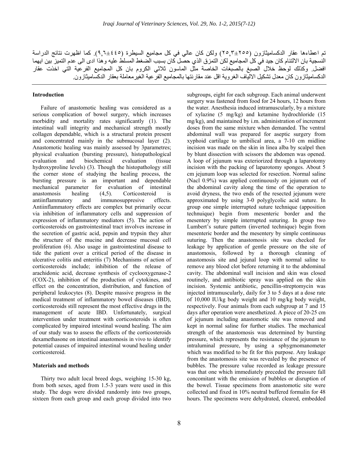تم اعطاءھا عقار الدكساميثازون (٢٥,٣±٢٥٥) ولكن كان عالي في كل مجاميع السيطرة (٩,٦±٤٤٥). كما اظھرت نتائج الدراسة النسجية بان االلتئام كان جيد في كل المجاميع لكن التمزق الذي حصل كان بسبب الضغط المسلط عليه وھذا ادى الى عدم التميز بين ايھما افضل. وكذلك لوحظ خالل الصبغ بالصبغات الخاصة مثل الماسون ثالثي الكروم بان كل المجاميع الفرعية التي اخذت عقار الدكساميثازون كان معدل تشكيل االلياف الغروية اقل عند مقارنتھا بالمجاميع الفرعية الغيرمعاملة بعقار الدكساميثازون.

### **Introduction**

Failure of anastomotic healing was considered as a serious complication of bowel surgery, which increases morbidity and mortality rates significantly (1). The intestinal wall integrity and mechanical strength mostly collagen dependable, which is a structural protein present and concentrated mainly in the submucosal layer (2). Anastomotic healing was mainly assessed by 3parametres; physical evaluation (bursting pressure), histopathological evaluation and biochemical evaluation (tissue hydroxyproline levels) (3). Though the histopathology still the corner stone of studying the healing process, the bursting pressure is an important and dependable mechanical parameter for evaluation of intestinal anastomosis healing (4,5). Corticosteroid is antiinflammatory and immunosuppresive effects. Antiinflammatory effects are complex but primarily occur via inhibition of inflammatory cells and suppression of expression of inflammatory mediators (5). The action of corticosteroids on gastrointestinal tract involves increase in the secretion of gastric acid, pepsin and trypsin they alter the structure of the mucine and decrease mucosal cell proliferation (6). Also usage in gastrointestinal disease to tide the patient over a critical period of the disease in ulcerative colitis and enteritis (7) Mechanisms of action of corticosteroids include; inhibition of the release of arachidonic acid, decrease synthesis of cyclooxygenase-2 (COX-2), inhibition of the production of cytokines, and effect on the concentration, distribution, and function of peripheral leukocytes (8). Despite massive progress in the medical treatment of inflammatory bowel diseases (IBD), corticosteroids still represent the most effective drugs in the management of acute IBD. Unfortunately, surgical intervention under treatment with corticosteroids is often complicated by impaired intestinal wound healing. The aim of our study was to assess the effects of the corticosteroids dexamethasone on intestinal anastomosis in vivo to identify potential causes of impaired intestinal wound healing under corticosteroid.

#### **Materials and methods**

Thirty two adult local breed dogs, weighing 15-30 kg, from both sexes, aged from 1.5-3 years were used in this study. The dogs were divided randomly into two groups, sixteen from each group and each group divided into two subgroups, eight for each subgroup. Each animal underwent surgery was fastened from food for 24 hours, 12 hours from the water. Anesthesia induced intramuscularly, by a mixture of xylazine (5 mg/kg) and ketamine hydrochloride (15 mg/kg), and maintained by i.m. administration of increment doses from the same mixture when demanded. The ventral abdominal wall was prepared for aseptic surgery from xyphoid cartilage to umbilical area, a 7-10 cm midline incision was made on the skin in linea alba by scalpel then by blunt dissection with scissors the abdomen was opened. A loop of jejunum was exteriorized through a laparotomy incision with the packing of laparotomy sponges. About 5 cm jejunum loop was selected for resection. Normal saline (Nacl 0.9%) was applied continuously on jejunum out of the abdominal cavity along the time of the operation to avoid dryness, the two ends of the resected jejunum were approximated by using 3-0 polyglycolic acid suture. In group one simple interrupted suture technique (apposition technuique) begin from mesenteric border and the mesentery by simple interrupted suturing. In group two Lumbert's suture pattern (inverted technique) begin from mesenteric border and the mesentery by simple continuous suturing. Then the anastomosis site was checked for leakage by application of gentle pressure on the site of anastomosis, followed by a thorough cleaning of anastomosis site and jejunal loop with normal saline to remove any blood clot before returning it to the abdominal cavity. The abdominal wall incision and skin was closed routinely, and antibiotic spray was applied on the skin incision. Systemic antibiotic, pencillin-streptomycin was injected intramuscularly, daily for 3 to 5 days at a dose rate of 10,000 IU/kg body weight and 10 mg/kg body weight, respectively. Four animals from each subgroup at 7 and 15 days after operation were anesthetized. A piece of 20-25 cm of jejunum including anastomotic site was removed and kept in normal saline for further studies. The mechanical strength of the anastomosis was determined by bursting pressure, which represents the resistance of the jejunum to intraluminal pressure, by using a sphygmomanometer which was modified to be fit for this purpose. Any leakage from the anastomosis site was revealed by the presence of bubbles. The pressure value recorded as leakage pressure was that one which immediately preceded the pressure fall concomitant with the emission of bubbles or disruption of the bowel. Tissue specimens from anastomotic site were collected and fixed in 10% neutral buffered formalin for 48 hours. The specimens were dehydrated, cleared, embedded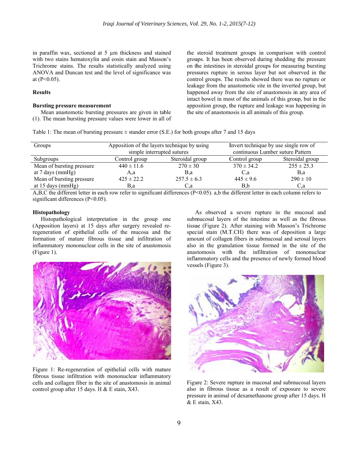in paraffin wax, sectioned at  $5 \mu m$  thickness and stained with two stains hematoxylin and eosin stain and Masson's Trichrome stains. The results statistically analyzed using ANOVA and Duncan test and the level of significance was a at (P<0.05).

#### **R Results**

#### **Bursting pressure measurement**

(1). The mean bursting pressure values were lower in all of Mean anastomotic bursting pressures are given in table the steroid treatment groups in comparison with control groups. It has been observed during shedding the pressure on the intestines in steroidal groups for measuring bursting pressures rupture in serous layer but not observed in the control groups. The results showed there was no rupture or leakage from the anastomotic site in the inverted group, but happened away from the site of anastomosis in any area of intact bowel in most of the animals of this group, but in the apposition group, the rupture and leakage was happening in the site of anastomosis in all animals of this group.

Table 1: The mean of bursting pressure  $\pm$  stander error (S.E.) for both groups after 7 and 15 days

| Groups                    | Apposition of the layers technique by using<br>simple interrupted sutures |                 | Invert technique by use single row of<br>continuous Lumber suture Pattern |                 |
|---------------------------|---------------------------------------------------------------------------|-----------------|---------------------------------------------------------------------------|-----------------|
| Subgroups                 | Control group                                                             | Steroidal group | Control group                                                             | Steroidal group |
| Mean of bursting pressure | $440 \pm 11.6$                                                            | $270 \pm 30$    | $370 \pm 34.2$                                                            | $255 \pm 25.3$  |
| at 7 days ( $mmHg$ )      | A.a                                                                       | B.a             | C,a                                                                       | B.a             |
| Mean of bursting pressure | $425 \pm 22.2$                                                            | $257.5 \pm 6.3$ | $445 \pm 9.6$                                                             | $290 \pm 10$    |
| at 15 days (mmHg)         | B.a                                                                       | C.a             | B,b                                                                       | C.a             |

A,B,C the different letter in each row refer to significant differences ( $P<0.05$ ). a,b the different letter in each column refers to significant differences (P<0.05).

## **H Histopatholog gy**

(Apposition layers) at 15 days after surgery revealed reregeneration of epithelial cells of the mucosa and the formation of mature fibrous tissue and infiltration of inflammatory mononuclear cells in the site of anastomosis ( (Figure 1). Histopathological interpretation in the group one



Figure 1: Re-regeneration of epithelial cells with mature fibrous tissue infiltration with mononuclear inflammatory cells and collagen fiber in the site of anastomosis in animal control group after 15 days. H  $&$  E stain, X43.

As observed a severe rupture in the mucosal and submucosal layers of the intestine as well as the fibrous tissue (Figure 2). After staining with Masson's Trichrome special stain (M.T.CH) there was of deposition a large amount of collagen fibers in submucosal and serosal layers also in the granulation tissue formed in the site of the anastomosis with the infiltration of mononuclear inflammatory cells and the presence of newly formed blood vessels (Figure 3).



Figure 2: Severe rupture in mucosal and submucosal layers also in fibrous tissue as a result of exposure to severe press sure in animal of dexamethas sone group afte er 15 days. H & E stain, X43.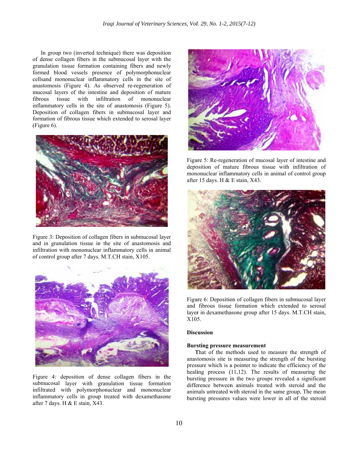o of dense colla agen fibers in the submucos al layer with t the granulation tissue formation containing fibers and newly formed blood vessels presence of polymorphonuclear cellsand mononuclear inflammatory cells in the site of anastomosis (Figure 4). As observed re-regeneration of mucosal layers of the intestine and deposition of mature f fibrous tissu inflammatory cells in the site of anastomosis (Figure 5). Deposition of collagen fibers in submucosal layer and formation of fibrous tissue which extended to serosal layer ( (Figure 6). In group two (inverted technique) there was deposition tissue with infiltration f mononuclear



Figure 3: Deposition of collagen fibers in submucosal layer and in granulation tissue in the site of anastomosis and infiltration with mononuclear inflammatory cells in animal of control group after 7 days. M.T.CH stain, X105.



Figure 4: deposition of dense collagen fibers in the infiltrated with polymorphonuclear and mononuclear inflammatory cells in group treated with dexamethasone after 7 days. H & E stain, X43. submucosal layer with granulation tissue formation



Figure 5: Re-regeneration of mucosal layer of intestine and deposition of mature fibrous tissue with infiltration of mononuclear inflammatory cells in animal of control group after 15 days. H & E stain, X43.



Figure 6: Deposition of collagen fibers in submucosal layer and fibrous tissue formation which extended to serosal layer in dexamethasone group after 15 days. M.T.CH stain, X105 5.

#### **Disc cussion**

## **Bursting pressure measurement**

That of the methods used to measure the strength of anastomosis site is measuring the strength of the bursting pressure which is a pointer to indicate the efficiency of the healing process  $(11,12)$ . The results of measuring the bursting pressure in the two groups revealed a significant difference between animals treated with steroid and the animals untreated with steroid in the same group, The mean bursting pressures values were lower in all of the steroid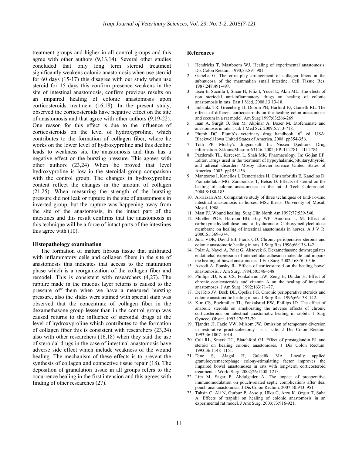treatment groups and higher in all control groups and this agree with other authors (9,13,14). Several other studies concluded that only long term steroid treatment significantly weakens colonic anastomosis when use steroid for 60 days (15-17) this disagree with our study when use steroid for 15 days this confirm presence weakens in the site of intestinal anastomosis, confirm previous results on an impaired healing of colonic anastomosis upon corticosteroids treatment (16,18). In the present study, observed the corticosteroids have negative effect on the site of anastomosis and that agree with other authors (9,19-22). One reason for this effect is due to the influence of corticosteroids on the level of hydroxyproline, which contributes to the formation of collagen fiber, where he works on the lower level of hydroxyproline and this decline leads to weakness site the anastomosis and thus has a negative effect on the bursting pressure. This agrees with other authors (23,24) When he proved that level hydroxyproline is low in the steroidal group comparison with the control group. The changes in hydroxyproline content reflect the changes in the amount of collagen (21,25). When measuring the strength of the bursting pressure did not leak or rupture in the site of anastomosis in inverted group, but the rupture was happening away from the site of the anastomosis, in the intact part of the intestines and this result confirms that the anastomosis in this technique will be a force of intact parts of the intestines this agree with (10).

#### **Histopathology examination**

The formation of mature fibrous tissue that infiltrated with inflammatory cells and collagen fibers in the site of anastomosis this indicates that access to the maturation phase which is a reorganization of the collagen fiber and remodel. This is consistent with researchers (4,27). The rupture made in the mucous layer returns is caused to the pressure off them when we have a measured bursting pressure, also the slides were stained with special stain was observed that the concentrate of collagen fiber in the dexamethasone group lesser than in the control group was caused returns to the influence of steroidal drugs at the level of hydroxyproline which contributes to the formation of collagen fiber this is consistent with researchers (23,24) also with other researchers (16,18) when they said the use of steroidal drugs in the case of intestinal anastomosis have adverse side effect which include weakness of the wound healing. The mechanism of these effects is to prevent the synthesis of collagen and connective tissue repair (18). The deposition of granulation tissue in all groups refers to the occurrence healing in the first intension and this agrees with finding of other researches (27).

#### **References**

- 1. Hendricks T, Mastboom WJ. Healing of experimental anastomosis. Dis Colon Rectum. 1990;33:891-901.
- Gabella G. The cross-play arrangement of collagen fibers in the submucosa of the mammalian small intestine. Cell Tissue Res. 1987;248:491-497.
- 3. Esen E, Sucullu I, Sinan H, Filiz I, Yucel E, Akin ML. The efects of non steriodal anti-inflammatory drugs on healing of colonic anastomosis in rats. East J Med. 2008;13:13-18.
- 4. Eubanks TR, Greenberg JJ, Dobrin PB, Harford FJ, Gamelli RL. The effects of different corticosteroids on the healing colon anastomosis and cecum in a rat model. Am Surg.1997;63:266-269.
- 5. Inan A, Surgit O, Sen M, Akpinar A, Bozer M. Etofenamate and anastomosis in rats. Turk J Med Sci. 2009;5:713-718.
- 6. Plumb DC. Plumb's veterinary drug handbook.  $6<sup>th</sup>$  ed, USA: Blackwell Iowa United States of America. 2008: pp354-356.
- 7. Toth PP. Mosby's drugconsult. In: Nissen D,editors. Drug information. St.louis,Missouri63146. 2002; PP.Ш-2781 – Ш-2784.
- 8. Pazdernik TL, Kerecsen L, Shah MK. Pharmacology. In: Goljan EF. Editor. Drugs used in the treatment of hypoyhalamic,pituitary,thyroid, and adrenal disorders Mosby Elsevier science United States of America. 2003: pp155-156.
- 9. Mantzoros I, Kanellos I, Demetriades H, Christoforidis E, Kanellos D, Pramateftakis MG, Zaraboukas T, Betsis D. Effects of steroid on the healing of colonic anastomoses in the rat. J Tech Coloproctol. 2004;8:180-183.
- 10. Al-Hasan AM. Comparative study of three techniques of End-To-End intestinal anastomosis in horses. MSc thesis, University of Mosul, Mosul, 1988.
- 11. Mast FJ. Wound healing. Surg Clin North Am.1997;77:539-540.
- 12. Mueller POE, Harmon BG, Hay WP, Amoroso L M. Effect of carboxymethylcellulose and a hyaluronate Carboxymethylcellulose membrane on healing of intestinal anastomosis in horses. A J V R. 2000;61:369–374.
- 13. Juna VDR, David EB, Frank GO. Chronic perioperative steroids and colonic anastomotic healing in rats. J Surg Res.1996;66:138-142.
- 14. Polat A, Nayci A, Polat G, Aksoyek S. Dexamethasone downregulates endothelial expression of intercellular adhesion molecule and impairs the healing of bowel anastomoses. J Eur Surg. 2002;168:500-506.
- 15. Aszodi A, Ponsky JL. Effects of corticosteroid on the healing bowel anastomosis. J Am Surg. 1984;50:546–548.
- 16. Phillips JD, Kim CS, Fonkalsrud EW, Zeng H, Dindar H. Effect of chronic corticosteroids and vitamin A on the healing of intestinal anastomoses. J Am Surg. 1992;163:71–77.
- 17. Del Rio JV, Beck DE, Opelka FG. Chronic perioperative steroids and colonic anastomotic healing in rats. J Surg Res. 1996;66:138–142.
- 18. Kim CS, Buchmiller TL, Fonkalsrud EW, Phillips JD. The effect of anabolic steroids on ameliorating the adverse effects of chronic corticosteroids on intestinal anastomotic healing in rabbits. J Surg Gynecol Obstet*.* 1993;176:73-79.
- 19. Tjandra JJ, Fazio VW, Milsom JW. Omission of temporary diversion in restorative proctocolectomy—is it safe. J Dis Colon Rectum. 1993;36:1007–1014.
- 20. Cali RL, Smyrk TC, Blatchford GJ. Effect of prostaglandin E1 and steroid on healing colonic anastomoses. J Dis Colon Rectum. 1993;36:1148–1151.
- 21. Dinc S, Alagol H, Gulcelik MA. Locally applied granulocytemacrophage colony-stimulating factor improves the impaired bowel anastomoses in rats with long-term corticosteroid treatment. J World Surg. 2002;26:1208–1213.
- 22. Lim M, Sagar P, Abdulgader A. The impact of preoperative immunomodulation on pouch-related septic complications after ileal pouch-anal anastomosis. J Dis Colon Rectum. 2007;50:943–951.
- 23. Tahsin C, Ali N, Gurbuz P, Ayse p, Ulku C, Arzu K, Ozgur T, Suha A. Effects of trapidil on healing of colonic anastomosis in an experimental rat model. J Anz Surg. 2003;73:916-921.